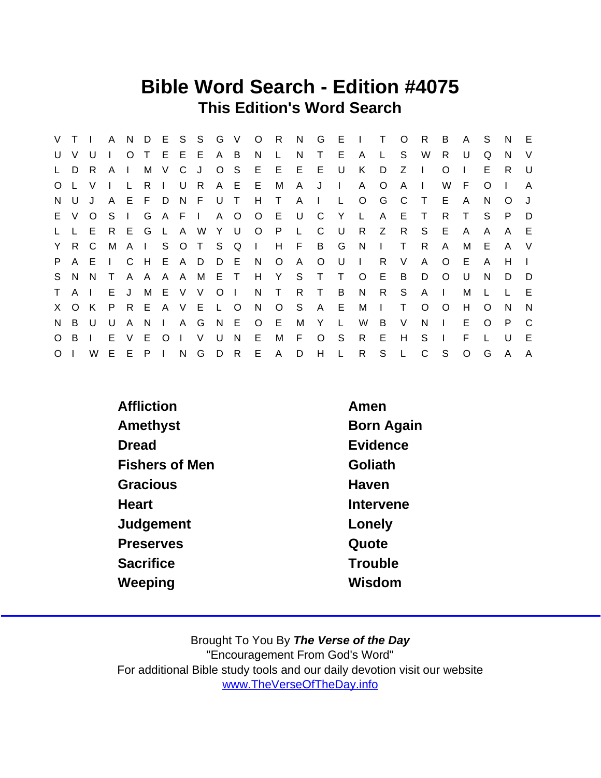## Bible Word Search - Edition #4075 This Edition's Word Search

|         | V T I  |         |              |              |         |              |                | A N D E S S G V |                |     |            | $O$ R        | N            |              |              | G E I T      |              | $\circ$      | R            | B            | A            | S.       | N.           | - E          |
|---------|--------|---------|--------------|--------------|---------|--------------|----------------|-----------------|----------------|-----|------------|--------------|--------------|--------------|--------------|--------------|--------------|--------------|--------------|--------------|--------------|----------|--------------|--------------|
| U       | $\vee$ | U       |              | $\circ$      | $\top$  |              | EEE            |                 | A B            |     | N          | $\mathsf{L}$ | N.           | T.           | E.           | $\mathsf{A}$ |              | S            | W            | R.           | U            | Q        | N.           | $\vee$       |
| L.      | D      | R.      | $\mathsf{A}$ |              | M       | V.           | C              | J.              | $O_S$          |     | E          | E            | E            | - E          | U            | K            | D            | Z            |              | $\Omega$     |              | Е        | R.           | U            |
|         | O L V  |         |              |              | R.      |              | U              | R               |                | A E | E.         | M            | A            | J            | $\mathbf{L}$ | A            | O            | A            |              | W            | F.           | O        |              | A            |
| N.      | U      | J       | $\mathsf{A}$ |              | E F D   |              | N              | - F             | U              | T   | H          | $\top$       | A            | $\mathbf{L}$ | $\mathsf{L}$ | $\circ$      | G            | C            | $\top$       | E.           | $\mathsf{A}$ | N        | $\circ$      |              |
|         | E V    | $\circ$ | S.           |              | G       |              | A F I          |                 |                | A O |            | O E U        |              | C            | Y            | $\mathsf{L}$ | A            | E.           | $\top$       | R.           | T.           | S.       | P.           | D            |
| L.      |        | E       |              | R E          | G       | $\mathsf{L}$ |                | A W             | YU             |     |            | O P          | $\mathsf{L}$ | - C          | U            | R            | Z            | R            | S.           | E.           | $\mathsf{A}$ | A        | $\mathsf{A}$ | E            |
|         | Y R    | C.      | M            |              |         |              |                | A I S O T S Q   |                |     | $\sim 1$ . | H            | F.           |              | B G          | N            | $\mathbf{I}$ | Τ            | R.           | A            | м            | Е        | $\mathsf{A}$ | V            |
| P.      |        | A E     | $\Box$       | $\mathbf C$  | H E A D |              |                |                 | D E            |     | N          | $\circ$      | $\mathsf{A}$ | $\circ$      | U            | $\Box$       | R.           | V            | A            | $\circ$      | E.           | A        | H            |              |
|         | S N N  |         | $\top$       |              |         |              |                | A A A A M E T   |                |     | H          | Y S          |              | $\top$       | $\top$       | $\circ$      | E            | B            | D            | $\Omega$     | U            | N        | D            | D            |
| T       | AI     |         | E            | J            |         |              | M E V V        |                 | O <sub>1</sub> |     | N          | $\mathsf{T}$ | R.           | $\top$       | B            | N            | R            | S            | A            | $\mathbf{I}$ | м            |          |              | E            |
|         | X O K  |         | P            | R            | E       |              | A V E          |                 | L O            |     | N          | $\circ$      | - S          | $\mathsf{A}$ | E            | M            | $\mathbf{L}$ | T            | $\Omega$     | $\circ$      | H            | $\Omega$ | N.           | <sup>N</sup> |
| N       | B      | $\cup$  | U            | $\mathsf{A}$ | N.      | $\mathbf{L}$ |                | A G             | N E            |     | $\circ$    | -E           | М            | Y            | $\mathsf{L}$ | W            | B            | V            | N            | $\mathbf{I}$ | E.           | $\Omega$ | P            | C            |
| $\circ$ | B      |         | E            | $\vee$       | E.      | $\circ$      | $\blacksquare$ | V               | U              | N   | E.         | М            | F.           | $\circ$      | S            | $\mathsf{R}$ | E            | H            | S.           |              | F            |          | U            | E            |
| $\circ$ |        | W.      |              | E E          | P       |              | N              | G               | D R            |     |            | E A          | D            | H            | $\mathsf{L}$ | $\mathsf{R}$ | S            | $\mathsf{L}$ | $\mathsf{C}$ | S            | $\circ$      | G        | A            | $\mathsf{A}$ |

| Affliction            | Amen       |
|-----------------------|------------|
| Amethyst              | Born Again |
| Dread                 | Evidence   |
| <b>Fishers of Men</b> | Goliath    |
| Gracious              | Haven      |
| Heart                 | Intervene  |
| Judgement             | Lonely     |
| <b>Preserves</b>      | Quote      |
| <b>Sacrifice</b>      | Trouble    |
| Weeping               | Wisdom     |
|                       |            |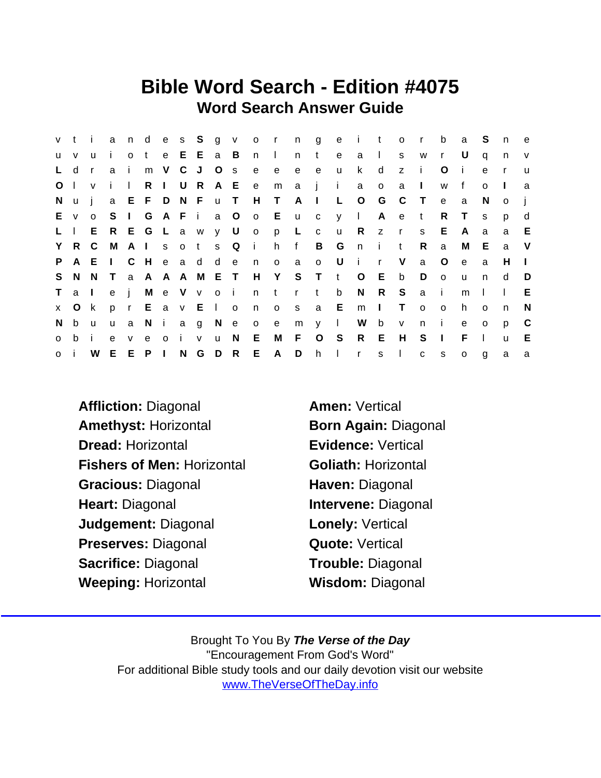## Bible Word Search - Edition #4075 Word Search Answer Guide

|                | v t i        |                |                   |              |                 |          |     |             |              |           |              |           |                |              |              | and es Sgvorngeitor |              |              |              | b              | a            | S.           | n              | e            |
|----------------|--------------|----------------|-------------------|--------------|-----------------|----------|-----|-------------|--------------|-----------|--------------|-----------|----------------|--------------|--------------|---------------------|--------------|--------------|--------------|----------------|--------------|--------------|----------------|--------------|
| <b>u</b>       | $\mathsf{V}$ | $\mathsf{u}$   | $\mathbf{i}$      | $\circ$      | t e E E a B     |          |     |             |              |           | n I          |           | n              | t            | e            | a                   | $\mathbf{1}$ | s            | W            | $\mathsf{r}$   | - U          | q            | n              | $\mathsf{v}$ |
| $\mathsf{L}$   | d            | $\mathsf{r}$   | a                 | $\mathbf{I}$ |                 |          |     | m V C J O s |              |           | e            | e         | e              | e            | $\mathsf{u}$ | $\mathsf{k}$        | d            | z            | $\mathbf{i}$ | $\circ$        | $\mathbf{I}$ | $\mathbf{e}$ | $\mathsf{r}$   | $\mathsf{u}$ |
| O <sub>1</sub> |              | $\mathsf{v}$   | $\mathbf{i}$      | $\mathbf{L}$ |                 | $R \mid$ |     | U R         |              |           | A E e        | m         | a j            |              | $\sim 1$ .   | a                   | $\circ$      | a            | $\Box$       | W              | f            | $\Omega$     | $\blacksquare$ | a            |
| N.             | <b>u</b>     | $\blacksquare$ |                   |              | a E F D N F u T |          |     |             |              |           | H T          |           | A              | $\sim 1$ .   | L O          |                     | G            | $\mathbb C$  | $\top$       | $\mathbf{e}$   | a            | <sub>N</sub> | $\circ$        |              |
|                | E v          | $\circ$        | S <sub>1</sub>    |              |                 |          |     | G A F i a O |              |           |              | o Eucyl   |                |              |              |                     | A e          |              | $-t$         | R.             | $\top$       | <sub>S</sub> | p              | d            |
| $L \parallel$  |              |                | E R E G L a w y U |              |                 |          |     |             |              |           |              | o p L     |                | $\mathbf{C}$ | $\mathbf{u}$ | R                   | Z            | $\mathsf{r}$ | s            | E.             | A            | a            | a              | E            |
|                | Y R C        |                | - M               |              |                 |          |     |             |              | Alsots Qi |              | h f       |                |              | B G          | n i t               |              |              | $\mathsf{R}$ | a              | М            | E.           | a              | V            |
| P.             |              | A E I          |                   | C H          |                 |          |     | e a d d e   |              |           | n            | $\circ$   | $\overline{a}$ | $\circ$      | U            | i r                 |              | $\vee$       | $\mathsf{a}$ | $\circ$        | $\mathbf{e}$ | a            | H              | $\mathbf{I}$ |
|                | S N N        |                | $\top$            |              | a A A A M E T   |          |     |             |              |           |              | H Y S T t |                |              |              | $\circ$             | E.           | b            | D            | $\circ$        | <b>u</b>     | n            | d              | D            |
| T              | a I          |                | e j               |              |                 |          |     | Me V v o i  |              |           |              | ntrt      |                |              | $\mathsf b$  | N                   | R            | S            | a i          |                | m            |              | $\mathbf{I}$   | Е            |
|                | x O k        |                |                   |              | p r E a v E I o |          |     |             |              |           | n            | $\circ$   | S              |              | a E          | m                   | $\Box$       | $\top$       | $\circ$      | $\circ$        | h.           | $\Omega$     | n.             | N            |
| N.             | b            | <b>u</b>       | $\mathsf{u}$      | a            |                 | Ni       |     | a g N e     |              |           | $\mathsf{o}$ | e         | $m \gamma$     |              | $\mathbf{L}$ | W b                 |              | $\mathsf{v}$ | n            | $\mathbf{I}$   | $\mathbf{e}$ | $\Omega$     | p              | C            |
| $\mathbf{o}$   | b.           | i.             | $\mathbf{e}$      | V            | e               |          | o i | V           | $\mathsf{u}$ | N         | E            | M         | - F            |              | $O_S$        | R                   | E            | H            | S            | $\blacksquare$ | F.           | $\mathbf{L}$ | $\mathsf{u}$   | E            |
| $\mathsf{O}$   |              | W              |                   |              | E E P           |          |     | N G D R     |              |           | E A          |           | D              | h            | $\sim 1$     | $\mathsf{r}$        | S            | $\Box$       | $\mathbf{C}$ | S              | $\circ$      | $\mathbf{g}$ | a              | a            |

- Affliction: Diagonal **Amen: Vertical** Amethyst: Horizontal Born Again: Diagonal Dread: Horizontal **Evidence: Vertical** Fishers of Men: Horizontal **Goliath: Horizontal** Gracious: Diagonal **Haven: Diagonal** Heart: Diagonal **Intervene: Diagonal** Judgement: Diagonal **Lonely: Vertical** Preserves: Diagonal **Quote: Vertical** Sacrifice: Diagonal Trouble: Diagonal Weeping: Horizontal Wisdom: Diagonal
-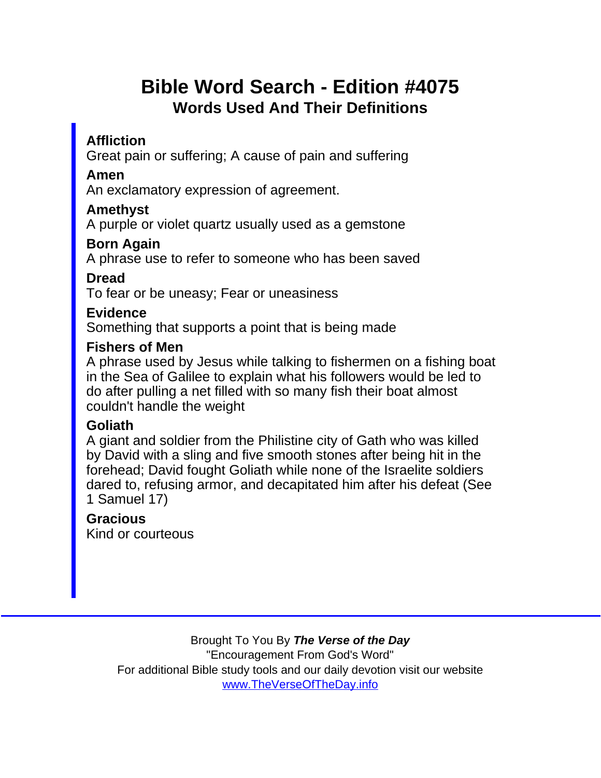# Bible Word Search - Edition #4075 Words Used And Their Definitions

**Affliction** 

Great pain or suffering; A cause of pain and suffering

Amen

An exclamatory expression of agreement.

Amethyst

A purple or violet quartz usually used as a gemstone

Born Again

A phrase use to refer to someone who has been saved

Dread

To fear or be uneasy; Fear or uneasiness

**Evidence** 

Something that supports a point that is being made

Fishers of Men

A phrase used by Jesus while talking to fishermen on a fishing boat in the Sea of Galilee to explain what his followers would be led to do after pulling a net filled with so many fish their boat almost couldn't handle the weight

#### Goliath

A giant and soldier from the Philistine city of Gath who was killed by David with a sling and five smooth stones after being hit in the forehead; David fought Goliath while none of the Israelite soldiers dared to, refusing armor, and decapitated him after his defeat (See 1 Samuel 17)

**Gracious** Kind or courteous